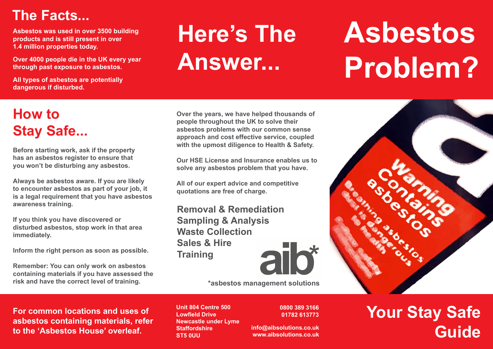### **The Facts...**

**Asbestos was used in over 3500 building products and is still present in over 1.4 million properties today.**

**Over 4000 people die in the UK every year through past exposure to asbestos.**

**All types of asbestos are potentially dangerous if disturbed.**

## **Here's The Answer...**

# **Asbestos Problem?**

### **How to Stay Safe...**

**Before starting work, ask if the property has an asbestos register to ensure that you won't be disturbing any asbestos.**

**Always be asbestos aware. If you are likely to encounter asbestos as part of your job, it is a legal requirement that you have asbestos awareness training.**

**If you think you have discovered or disturbed asbestos, stop work in that area immediately.**

**Inform the right person as soon as possible.**

**Remember: You can only work on asbestos containing materials if you have assessed the risk and have the correct level of training.**

**Over the years, we have helped thousands of people throughout the UK to solve their asbestos problems with our common sense approach and cost effective service, coupled with the upmost diligence to Health & Safety.**

**Our HSE License and Insurance enables us to solve any asbestos problem that you have.** 

**All of our expert advice and competitive quotations are free of charge.**

**Removal & Remediation Sampling & Analysis Waste Collection Sales & Hire Training**



**\*asbestos management solutions**

**For common locations and uses of asbestos containing materials, refer to the 'Asbestos House' overleaf.**

**Unit 804 Centre 500 Lowfield Drive Newcastle under Lyme Staffordshire ST5 0UU**

**0800 389 3166 01782 613773**

**info@aibsolutions.co.uk www.aibsolutions.co.uk**

### **Your Stay Safe Guide**